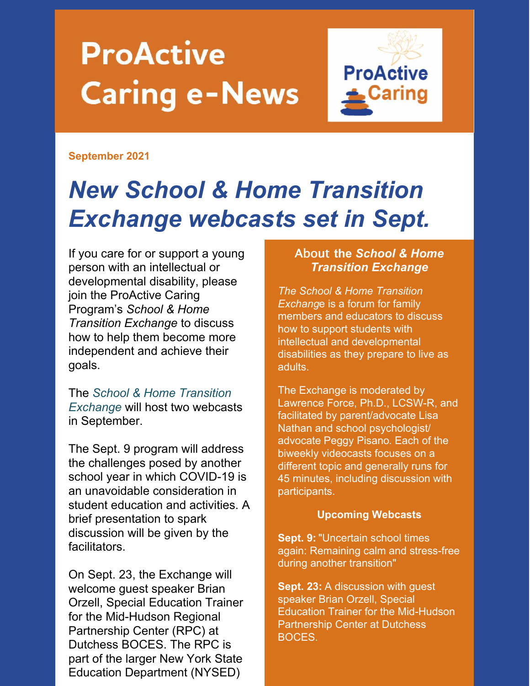# **ProActive Caring e-News**



#### **September 2021**

## *New School & Home Transition Exchange webcasts set in Sept.*

If you care for or support a young person with an intellectual or developmental disability, please join the ProActive Caring Program's *School & Home Transition Exchange* to discuss how to help them become more independent and achieve their goals.

The *School & Home Transition Exchange* will host two webcasts in September.

The Sept. 9 program will address the challenges posed by another school year in which COVID-19 is an unavoidable consideration in student education and activities. A brief presentation to spark discussion will be given by the facilitators.

On Sept. 23, the Exchange will welcome guest speaker Brian Orzell, Special Education Trainer for the Mid-Hudson Regional Partnership Center (RPC) at Dutchess BOCES. The RPC is part of the larger New York State Education Department (NYSED)

#### About **the** *School & Home Transition Exchange*

*The School & Home Transition Exchang*e is a forum for family members and educators to discuss how to support students with intellectual and developmental disabilities as they prepare to live as adults.

The Exchange is moderated by Lawrence Force, Ph.D., LCSW-R, and facilitated by parent/advocate Lisa Nathan and school psychologist/ advocate Peggy Pisano. Each of the biweekly videocasts focuses on a different topic and generally runs for 45 minutes, including discussion with participants.

#### **Upcoming Webcasts**

**Sept. 9:** "Uncertain school times again: Remaining calm and stress-free during another transition"

**Sept. 23:** A discussion with guest speaker Brian Orzell, Special Education Trainer for the Mid-Hudson Partnership Center at Dutchess BOCES.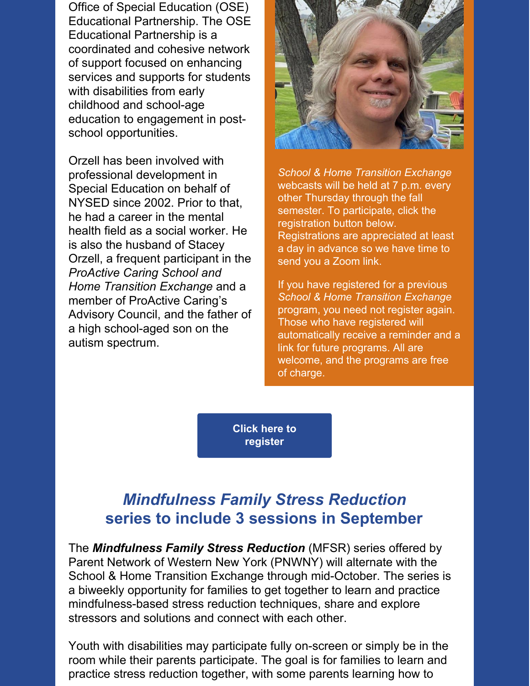Office of Special Education (OSE) Educational Partnership. The OSE Educational Partnership is a coordinated and cohesive network of support focused on enhancing services and supports for students with disabilities from early childhood and school-age education to engagement in postschool opportunities.

Orzell has been involved with professional development in Special Education on behalf of NYSED since 2002. Prior to that, he had a career in the mental health field as a social worker. He is also the husband of Stacey Orzell, a frequent participant in the *ProActive Caring School and Home Transition Exchange* and a member of ProActive Caring's Advisory Council, and the father of a high school-aged son on the autism spectrum.



*School & Home Transition Exchange* webcasts will be held at 7 p.m. every other Thursday through the fall semester. To participate, click the registration button below. Registrations are appreciated at least a day in advance so we have time to send you a Zoom link.

If you have registered for a previous *School & Home Transition Exchange* program, you need not register again. Those who have registered will automatically receive a reminder and a link for future programs. All are welcome, and the programs are free of charge.

**Click here to [register](https://parentnetworkwny.org/events)**

### *Mindfulness Family Stress Reduction* **series to include 3 sessions in September**

The *Mindfulness Family Stress Reduction* (MFSR) series offered by Parent Network of Western New York (PNWNY) will alternate with the School & Home Transition Exchange through mid-October. The series is a biweekly opportunity for families to get together to learn and practice mindfulness-based stress reduction techniques, share and explore stressors and solutions and connect with each other.

Youth with disabilities may participate fully on-screen or simply be in the room while their parents participate. The goal is for families to learn and practice stress reduction together, with some parents learning how to